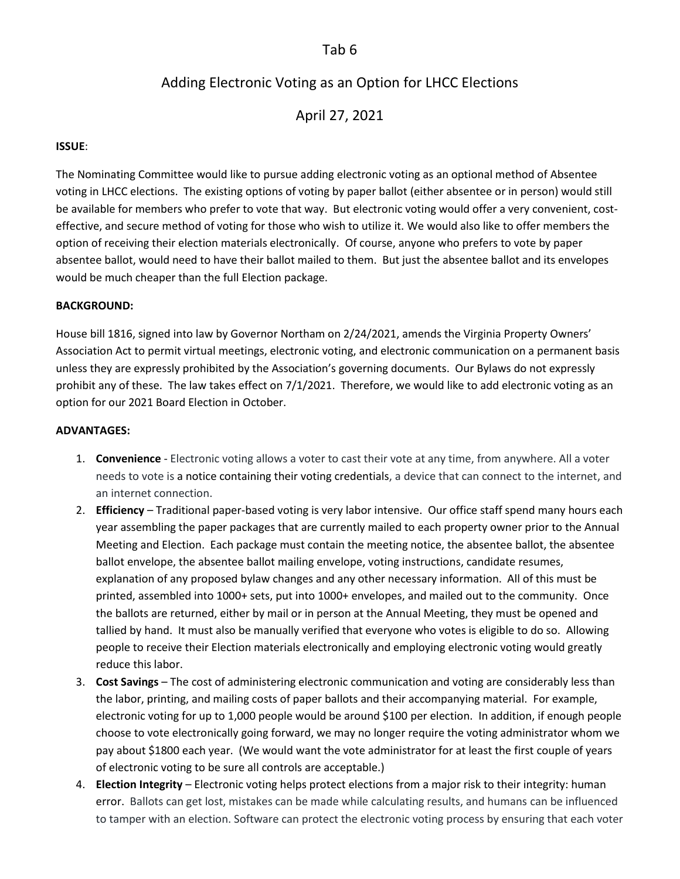## Tab 6

# Adding Electronic Voting as an Option for LHCC Elections

April 27, 2021

#### **ISSUE**:

The Nominating Committee would like to pursue adding electronic voting as an optional method of Absentee voting in LHCC elections. The existing options of voting by paper ballot (either absentee or in person) would still be available for members who prefer to vote that way. But electronic voting would offer a very convenient, costeffective, and secure method of voting for those who wish to utilize it. We would also like to offer members the option of receiving their election materials electronically. Of course, anyone who prefers to vote by paper absentee ballot, would need to have their ballot mailed to them. But just the absentee ballot and its envelopes would be much cheaper than the full Election package.

#### **BACKGROUND:**

House bill 1816, signed into law by Governor Northam on 2/24/2021, amends the Virginia Property Owners' Association Act to permit virtual meetings, electronic voting, and electronic communication on a permanent basis unless they are expressly prohibited by the Association's governing documents. Our Bylaws do not expressly prohibit any of these. The law takes effect on 7/1/2021. Therefore, we would like to add electronic voting as an option for our 2021 Board Election in October.

#### **ADVANTAGES:**

- 1. **Convenience** Electronic voting allows a voter to cast their vote at any time, from anywhere. All a voter needs to vote is [a notice containing their voting credentials,](https://electionbuddy.com/features/voter-notification) a device that can connect to the internet, and an internet connection.
- 2. **Efficiency** Traditional paper-based voting is very labor intensive. Our office staff spend many hours each year assembling the paper packages that are currently mailed to each property owner prior to the Annual Meeting and Election. Each package must contain the meeting notice, the absentee ballot, the absentee ballot envelope, the absentee ballot mailing envelope, voting instructions, candidate resumes, explanation of any proposed bylaw changes and any other necessary information. All of this must be printed, assembled into 1000+ sets, put into 1000+ envelopes, and mailed out to the community. Once the ballots are returned, either by mail or in person at the Annual Meeting, they must be opened and tallied by hand. It must also be manually verified that everyone who votes is eligible to do so. Allowing people to receive their Election materials electronically and employing electronic voting would greatly reduce this labor.
- 3. **Cost Savings** The cost of administering electronic communication and voting are considerably less than the labor, printing, and mailing costs of paper ballots and their accompanying material. For example, electronic voting for up to 1,000 people would be around \$100 per election. In addition, if enough people choose to vote electronically going forward, we may no longer require the voting administrator whom we pay about \$1800 each year. (We would want the vote administrator for at least the first couple of years of electronic voting to be sure all controls are acceptable.)
- 4. **Election Integrity** Electronic voting helps protect elections from a major risk to their integrity: human error. Ballots can get lost, mistakes can be made while calculating results, and humans can be influenced to tamper with an election. Software can protect the electronic voting process by ensuring that each voter